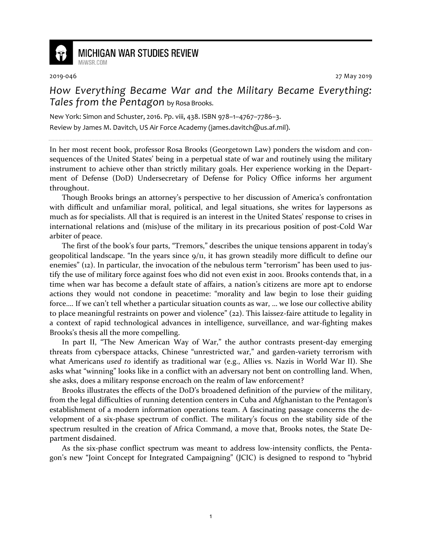

## **MICHIGAN WAR STUDIES REVIEW** MiWSR.COM

2019-046 27 May 2019

## *How Everything Became War and the Military Became Everything: Tales from the Pentagon* by Rosa Brooks.

New York: Simon and Schuster, 2016. Pp. viii, 438. ISBN 978–1–4767–7786–3. Review by James M. Davitch, US Air Force Academy (james.davitch@us.af.mil).

In her most recent book, professor Rosa Brooks (Georgetown Law) ponders the wisdom and consequences of the United States' being in a perpetual state of war and routinely using the military instrument to achieve other than strictly military goals. Her experience working in the Department of Defense (DoD) Undersecretary of Defense for Policy Office informs her argument throughout.

Though Brooks brings an attorney's perspective to her discussion of America's confrontation with difficult and unfamiliar moral, political, and legal situations, she writes for laypersons as much as for specialists. All that is required is an interest in the United States' response to crises in international relations and (mis)use of the military in its precarious position of post-Cold War arbiter of peace.

The first of the book's four parts, "Tremors," describes the unique tensions apparent in today's geopolitical landscape. "In the years since 9/11, it has grown steadily more difficult to define our enemies" (12). In particular, the invocation of the nebulous term "terrorism" has been used to justify the use of military force against foes who did not even exist in 2001. Brooks contends that, in a time when war has become a default state of affairs, a nation's citizens are more apt to endorse actions they would not condone in peacetime: "morality and law begin to lose their guiding force…. If we can't tell whether a particular situation counts as war, … we lose our collective ability to place meaningful restraints on power and violence" (22). This laissez-faire attitude to legality in a context of rapid technological advances in intelligence, surveillance, and war-fighting makes Brooks's thesis all the more compelling.

In part II, "The New American Way of War," the author contrasts present-day emerging threats from cyberspace attacks, Chinese "unrestricted war," and garden-variety terrorism with what Americans *used to* identify as traditional war (e.g., Allies vs. Nazis in World War II). She asks what "winning" looks like in a conflict with an adversary not bent on controlling land. When, she asks, does a military response encroach on the realm of law enforcement?

Brooks illustrates the effects of the DoD's broadened definition of the purview of the military, from the legal difficulties of running detention centers in Cuba and Afghanistan to the Pentagon's establishment of a modern information operations team. A fascinating passage concerns the development of a six-phase spectrum of conflict. The military's focus on the stability side of the spectrum resulted in the creation of Africa Command, a move that, Brooks notes, the State Department disdained.

As the six-phase conflict spectrum was meant to address low-intensity conflicts, the Pentagon's new "Joint Concept for Integrated Campaigning" (JCIC) is designed to respond to "hybrid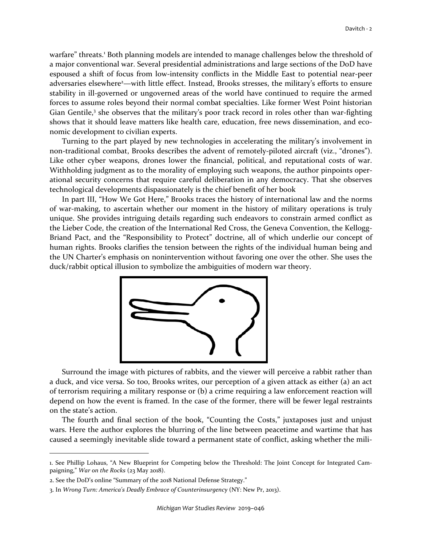warfare" threats.<sup>1</sup> Both planning models are intended to manage challenges below the threshold of a major conventional war. Several presidential administrations and large sections of the DoD have espoused a shift of focus from low-intensity conflicts in the Middle East to potential near-peer adversaries elsewhere<sup>2</sup>—with little effect. Instead, Brooks stresses, the military's efforts to ensure stability in ill-governed or ungoverned areas of the world have continued to require the armed forces to assume roles beyond their normal combat specialties. Like former West Point historian Gian Gentile,<sup>3</sup> she observes that the military's poor track record in roles other than war-fighting shows that it should leave matters like health care, education, free news dissemination, and economic development to civilian experts.

Turning to the part played by new technologies in accelerating the military's involvement in non-traditional combat, Brooks describes the advent of remotely-piloted aircraft (viz., "drones"). Like other cyber weapons, drones lower the financial, political, and reputational costs of war. Withholding judgment as to the morality of employing such weapons, the author pinpoints operational security concerns that require careful deliberation in any democracy. That she observes technological developments dispassionately is the chief benefit of her book

In part III, "How We Got Here," Brooks traces the history of international law and the norms of war-making, to ascertain whether our moment in the history of military operations is truly unique. She provides intriguing details regarding such endeavors to constrain armed conflict as the Lieber Code, the creation of the International Red Cross, the Geneva Convention, the Kellogg-Briand Pact, and the "Responsibility to Protect" doctrine, all of which underlie our concept of human rights. Brooks clarifies the tension between the rights of the individual human being and the UN Charter's emphasis on nonintervention without favoring one over the other. She uses the duck/rabbit optical illusion to symbolize the ambiguities of modern war theory.



Surround the image with pictures of rabbits, and the viewer will perceive a rabbit rather than a duck, and vice versa. So too, Brooks writes, our perception of a given attack as either (a) an act of terrorism requiring a military response or (b) a crime requiring a law enforcement reaction will depend on how the event is framed. In the case of the former, there will be fewer legal restraints on the state's action.

The fourth and final section of the book, "Counting the Costs," juxtaposes just and unjust wars. Here the author explores the blurring of the line between peacetime and wartime that has caused a seemingly inevitable slide toward a permanent state of conflict, asking whether the mili-

-

<sup>1.</sup> See Phillip Lohaus, "A New Blueprint for Competing below the Threshold: The Joint Concept for Integrated Campaigning," *War on the Rocks* (23 May 2018).

<sup>2.</sup> See the DoD's online "Summary of the 2018 National Defense Strategy."

<sup>3.</sup> In *Wrong Turn: America's Deadly Embrace of Counterinsurgency* (NY: New Pr, 2013).